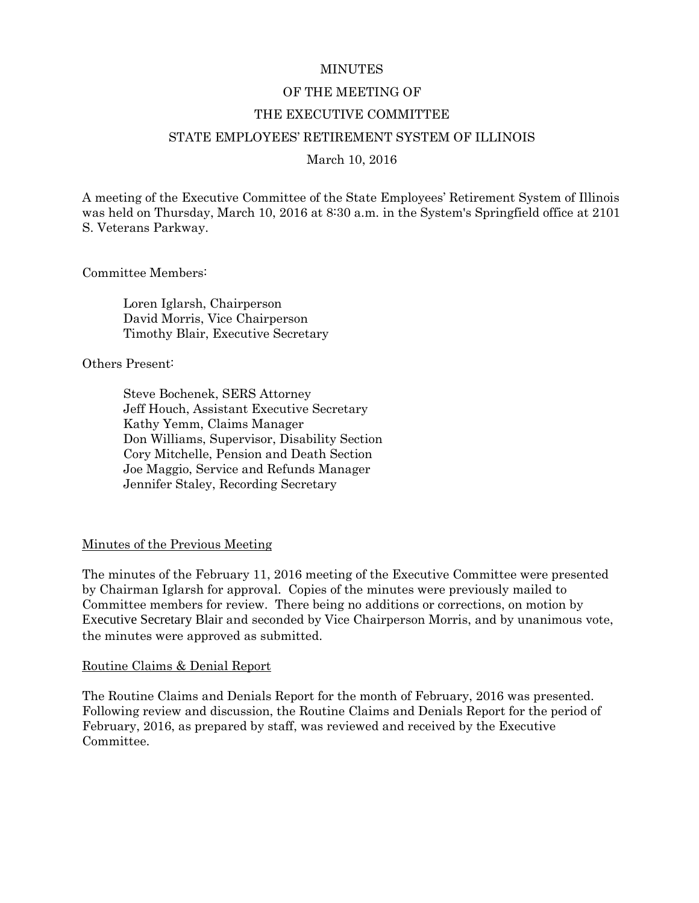#### **MINUTES**

#### OF THE MEETING OF

#### THE EXECUTIVE COMMITTEE

#### STATE EMPLOYEES' RETIREMENT SYSTEM OF ILLINOIS

March 10, 2016

A meeting of the Executive Committee of the State Employees' Retirement System of Illinois was held on Thursday, March 10, 2016 at 8:30 a.m. in the System's Springfield office at 2101 S. Veterans Parkway.

Committee Members:

Loren Iglarsh, Chairperson David Morris, Vice Chairperson Timothy Blair, Executive Secretary

Others Present:

Steve Bochenek, SERS Attorney Jeff Houch, Assistant Executive Secretary Kathy Yemm, Claims Manager Don Williams, Supervisor, Disability Section Cory Mitchelle, Pension and Death Section Joe Maggio, Service and Refunds Manager Jennifer Staley, Recording Secretary

#### Minutes of the Previous Meeting

The minutes of the February 11, 2016 meeting of the Executive Committee were presented by Chairman Iglarsh for approval. Copies of the minutes were previously mailed to Committee members for review. There being no additions or corrections, on motion by Executive Secretary Blair and seconded by Vice Chairperson Morris, and by unanimous vote, the minutes were approved as submitted.

#### Routine Claims & Denial Report

The Routine Claims and Denials Report for the month of February, 2016 was presented. Following review and discussion, the Routine Claims and Denials Report for the period of February, 2016, as prepared by staff, was reviewed and received by the Executive Committee.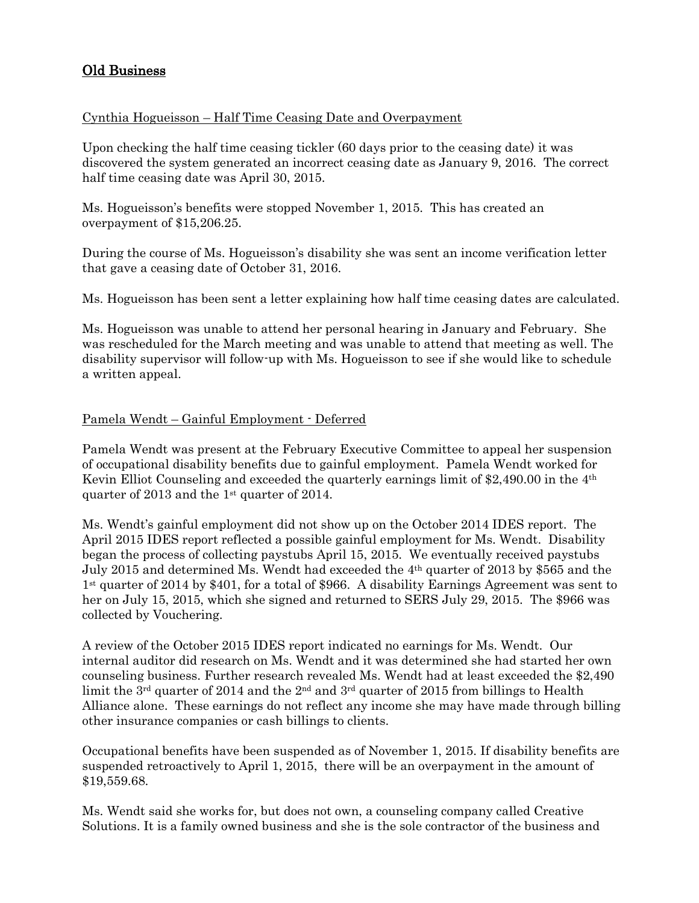# Old Business

### Cynthia Hogueisson – Half Time Ceasing Date and Overpayment

Upon checking the half time ceasing tickler (60 days prior to the ceasing date) it was discovered the system generated an incorrect ceasing date as January 9, 2016. The correct half time ceasing date was April 30, 2015.

Ms. Hogueisson's benefits were stopped November 1, 2015. This has created an overpayment of \$15,206.25.

During the course of Ms. Hogueisson's disability she was sent an income verification letter that gave a ceasing date of October 31, 2016.

Ms. Hogueisson has been sent a letter explaining how half time ceasing dates are calculated.

Ms. Hogueisson was unable to attend her personal hearing in January and February. She was rescheduled for the March meeting and was unable to attend that meeting as well. The disability supervisor will follow-up with Ms. Hogueisson to see if she would like to schedule a written appeal.

### Pamela Wendt – Gainful Employment - Deferred

Pamela Wendt was present at the February Executive Committee to appeal her suspension of occupational disability benefits due to gainful employment. Pamela Wendt worked for Kevin Elliot Counseling and exceeded the quarterly earnings limit of \$2,490.00 in the 4th quarter of 2013 and the 1st quarter of 2014.

Ms. Wendt's gainful employment did not show up on the October 2014 IDES report. The April 2015 IDES report reflected a possible gainful employment for Ms. Wendt. Disability began the process of collecting paystubs April 15, 2015. We eventually received paystubs July 2015 and determined Ms. Wendt had exceeded the 4th quarter of 2013 by \$565 and the 1st quarter of 2014 by \$401, for a total of \$966. A disability Earnings Agreement was sent to her on July 15, 2015, which she signed and returned to SERS July 29, 2015. The \$966 was collected by Vouchering.

A review of the October 2015 IDES report indicated no earnings for Ms. Wendt. Our internal auditor did research on Ms. Wendt and it was determined she had started her own counseling business. Further research revealed Ms. Wendt had at least exceeded the \$2,490 limit the 3<sup>rd</sup> quarter of 2014 and the 2<sup>nd</sup> and 3<sup>rd</sup> quarter of 2015 from billings to Health Alliance alone. These earnings do not reflect any income she may have made through billing other insurance companies or cash billings to clients.

Occupational benefits have been suspended as of November 1, 2015. If disability benefits are suspended retroactively to April 1, 2015, there will be an overpayment in the amount of \$19,559.68.

Ms. Wendt said she works for, but does not own, a counseling company called Creative Solutions. It is a family owned business and she is the sole contractor of the business and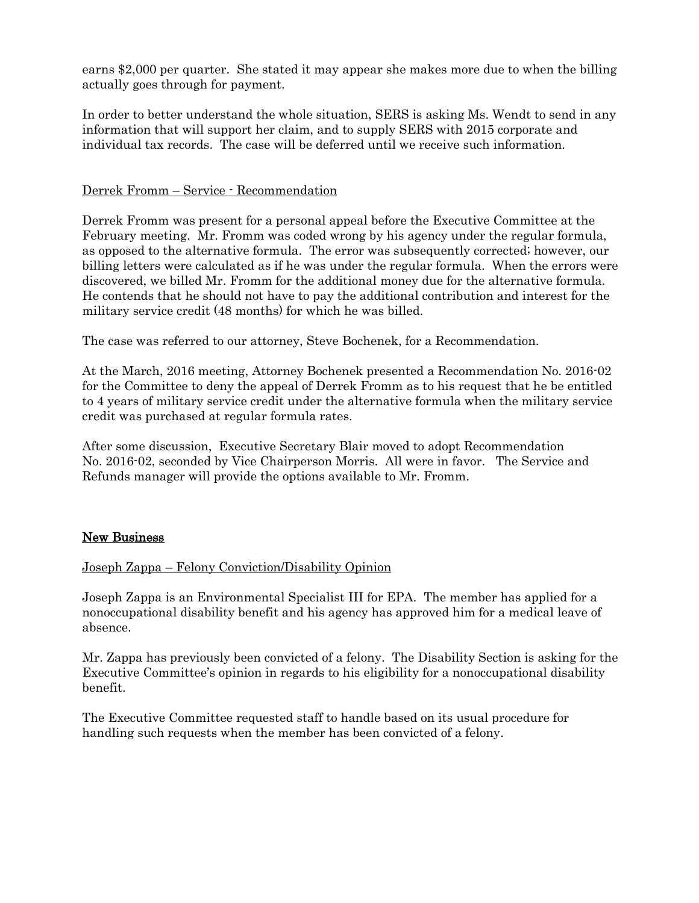earns \$2,000 per quarter. She stated it may appear she makes more due to when the billing actually goes through for payment.

In order to better understand the whole situation, SERS is asking Ms. Wendt to send in any information that will support her claim, and to supply SERS with 2015 corporate and individual tax records. The case will be deferred until we receive such information.

### Derrek Fromm – Service - Recommendation

Derrek Fromm was present for a personal appeal before the Executive Committee at the February meeting. Mr. Fromm was coded wrong by his agency under the regular formula, as opposed to the alternative formula. The error was subsequently corrected; however, our billing letters were calculated as if he was under the regular formula. When the errors were discovered, we billed Mr. Fromm for the additional money due for the alternative formula. He contends that he should not have to pay the additional contribution and interest for the military service credit (48 months) for which he was billed.

The case was referred to our attorney, Steve Bochenek, for a Recommendation.

At the March, 2016 meeting, Attorney Bochenek presented a Recommendation No. 2016-02 for the Committee to deny the appeal of Derrek Fromm as to his request that he be entitled to 4 years of military service credit under the alternative formula when the military service credit was purchased at regular formula rates.

After some discussion, Executive Secretary Blair moved to adopt Recommendation No. 2016-02, seconded by Vice Chairperson Morris. All were in favor. The Service and Refunds manager will provide the options available to Mr. Fromm.

# New Business

### Joseph Zappa – Felony Conviction/Disability Opinion

Joseph Zappa is an Environmental Specialist III for EPA. The member has applied for a nonoccupational disability benefit and his agency has approved him for a medical leave of absence.

Mr. Zappa has previously been convicted of a felony. The Disability Section is asking for the Executive Committee's opinion in regards to his eligibility for a nonoccupational disability benefit.

The Executive Committee requested staff to handle based on its usual procedure for handling such requests when the member has been convicted of a felony.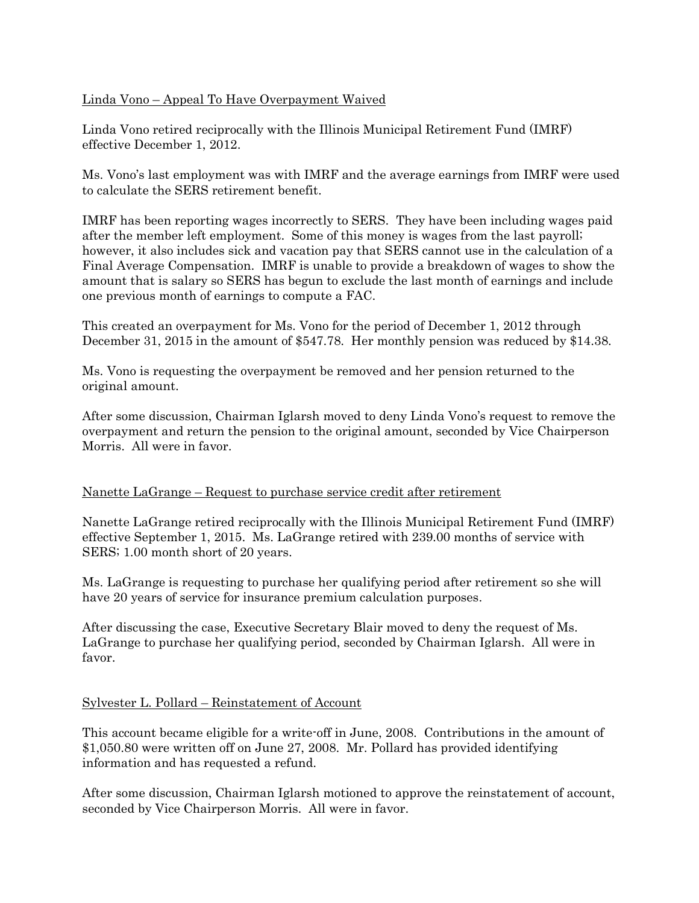### Linda Vono – Appeal To Have Overpayment Waived

Linda Vono retired reciprocally with the Illinois Municipal Retirement Fund (IMRF) effective December 1, 2012.

Ms. Vono's last employment was with IMRF and the average earnings from IMRF were used to calculate the SERS retirement benefit.

IMRF has been reporting wages incorrectly to SERS. They have been including wages paid after the member left employment. Some of this money is wages from the last payroll; however, it also includes sick and vacation pay that SERS cannot use in the calculation of a Final Average Compensation. IMRF is unable to provide a breakdown of wages to show the amount that is salary so SERS has begun to exclude the last month of earnings and include one previous month of earnings to compute a FAC.

This created an overpayment for Ms. Vono for the period of December 1, 2012 through December 31, 2015 in the amount of \$547.78. Her monthly pension was reduced by \$14.38.

Ms. Vono is requesting the overpayment be removed and her pension returned to the original amount.

After some discussion, Chairman Iglarsh moved to deny Linda Vono's request to remove the overpayment and return the pension to the original amount, seconded by Vice Chairperson Morris. All were in favor.

### Nanette LaGrange – Request to purchase service credit after retirement

Nanette LaGrange retired reciprocally with the Illinois Municipal Retirement Fund (IMRF) effective September 1, 2015. Ms. LaGrange retired with 239.00 months of service with SERS; 1.00 month short of 20 years.

Ms. LaGrange is requesting to purchase her qualifying period after retirement so she will have 20 years of service for insurance premium calculation purposes.

After discussing the case, Executive Secretary Blair moved to deny the request of Ms. LaGrange to purchase her qualifying period, seconded by Chairman Iglarsh. All were in favor.

### Sylvester L. Pollard – Reinstatement of Account

This account became eligible for a write-off in June, 2008. Contributions in the amount of \$1,050.80 were written off on June 27, 2008. Mr. Pollard has provided identifying information and has requested a refund.

After some discussion, Chairman Iglarsh motioned to approve the reinstatement of account, seconded by Vice Chairperson Morris. All were in favor.